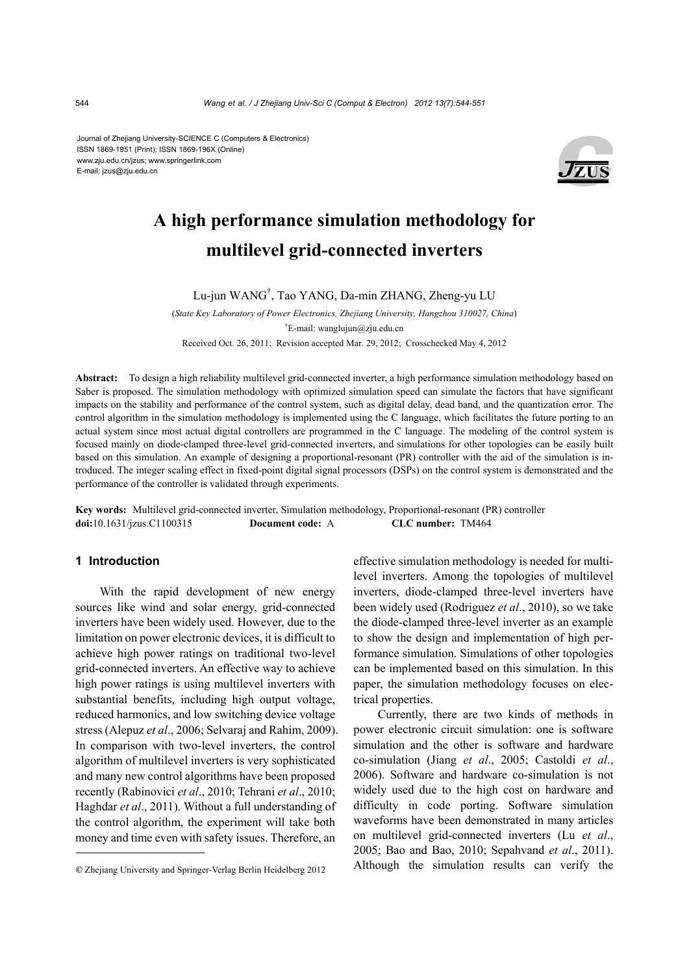Journal of Zhejiang University-SCIENCE C (Computers & Electronics) ISSN 1869-1951 (Print); ISSN 1869-196X (Online) www.zju.edu.cn/jzus; www.springerlink.com E-mail: jzus@zju.edu.cn



# **A high performance simulation methodology for multilevel grid-connected inverters**

Lu-jun WANG† , Tao YANG, Da-min ZHANG, Zheng-yu LU

(*State Key Laboratory of Power Electronics, Zhejiang University, Hangzhou 310027, China*) † E-mail: wanglujun@zju.edu.cn Received Oct. 26, 2011; Revision accepted Mar. 29, 2012; Crosschecked May 4, 2012

**Abstract:** To design a high reliability multilevel grid-connected inverter, a high performance simulation methodology based on Saber is proposed. The simulation methodology with optimized simulation speed can simulate the factors that have significant impacts on the stability and performance of the control system, such as digital delay, dead band, and the quantization error. The control algorithm in the simulation methodology is implemented using the C language, which facilitates the future porting to an actual system since most actual digital controllers are programmed in the C language. The modeling of the control system is focused mainly on diode-clamped three-level grid-connected inverters, and simulations for other topologies can be easily built based on this simulation. An example of designing a proportional-resonant (PR) controller with the aid of the simulation is introduced. The integer scaling effect in fixed-point digital signal processors (DSPs) on the control system is demonstrated and the performance of the controller is validated through experiments.

**Key words:** Multilevel grid-connected inverter, Simulation methodology, Proportional-resonant (PR) controller **doi:**10.1631/jzus.C1100315 **Document code:** A **CLC number:** TM464

# **1 Introduction**

With the rapid development of new energy sources like wind and solar energy, grid-connected inverters have been widely used. However, due to the limitation on power electronic devices, it is difficult to achieve high power ratings on traditional two-level grid-connected inverters. An effective way to achieve high power ratings is using multilevel inverters with substantial benefits, including high output voltage, reduced harmonics, and low switching device voltage stress (Alepuz *et al*., 2006; Selvaraj and Rahim, 2009). In comparison with two-level inverters, the control algorithm of multilevel inverters is very sophisticated and many new control algorithms have been proposed recently (Rabinovici *et al*., 2010; Tehrani *et al*., 2010; Haghdar *et al*., 2011). Without a full understanding of the control algorithm, the experiment will take both money and time even with safety issues. Therefore, an

effective simulation methodology is needed for multilevel inverters. Among the topologies of multilevel inverters, diode-clamped three-level inverters have been widely used (Rodriguez *et al*., 2010), so we take the diode-clamped three-level inverter as an example to show the design and implementation of high performance simulation. Simulations of other topologies can be implemented based on this simulation. In this paper, the simulation methodology focuses on electrical properties.

Currently, there are two kinds of methods in power electronic circuit simulation: one is software simulation and the other is software and hardware co-simulation (Jiang *et al*., 2005; Castoldi *et al*., 2006). Software and hardware co-simulation is not widely used due to the high cost on hardware and difficulty in code porting. Software simulation waveforms have been demonstrated in many articles on multilevel grid-connected inverters (Lu *et al*., 2005; Bao and Bao, 2010; Sepahvand *et al*., 2011). Although the simulation results can verify the

**<sup>©</sup>** Zhejiang University and Springer-Verlag Berlin Heidelberg 2012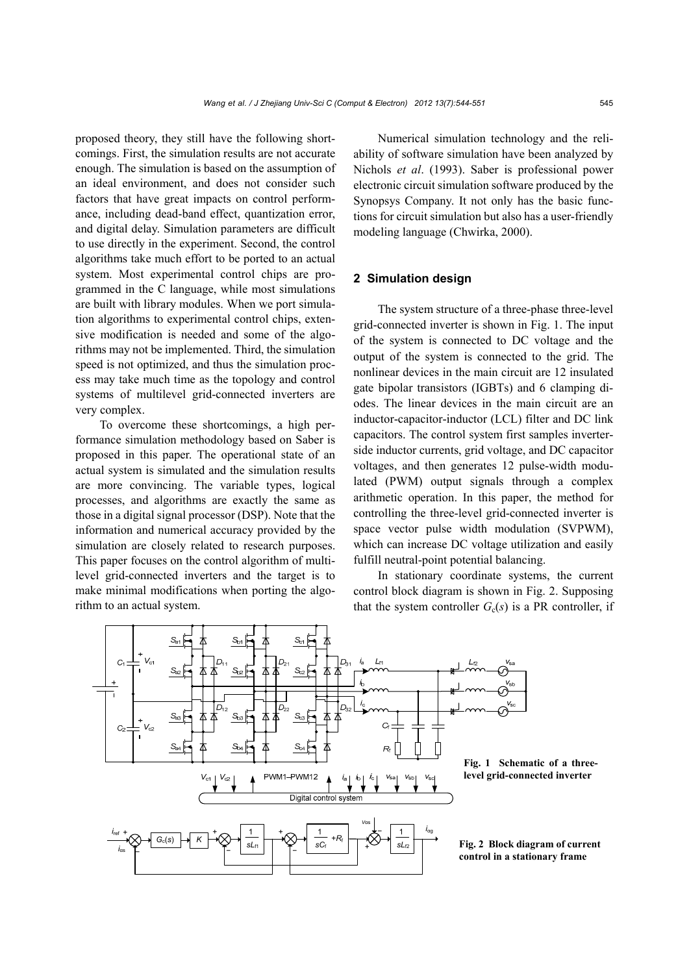proposed theory, they still have the following shortcomings. First, the simulation results are not accurate enough. The simulation is based on the assumption of an ideal environment, and does not consider such factors that have great impacts on control performance, including dead-band effect, quantization error, and digital delay. Simulation parameters are difficult to use directly in the experiment. Second, the control algorithms take much effort to be ported to an actual system. Most experimental control chips are programmed in the C language, while most simulations are built with library modules. When we port simulation algorithms to experimental control chips, extensive modification is needed and some of the algorithms may not be implemented. Third, the simulation speed is not optimized, and thus the simulation process may take much time as the topology and control systems of multilevel grid-connected inverters are very complex.

To overcome these shortcomings, a high performance simulation methodology based on Saber is proposed in this paper. The operational state of an actual system is simulated and the simulation results are more convincing. The variable types, logical processes, and algorithms are exactly the same as those in a digital signal processor (DSP). Note that the information and numerical accuracy provided by the simulation are closely related to research purposes. This paper focuses on the control algorithm of multilevel grid-connected inverters and the target is to make minimal modifications when porting the algorithm to an actual system.

Numerical simulation technology and the reliability of software simulation have been analyzed by Nichols *et al*. (1993). Saber is professional power electronic circuit simulation software produced by the Synopsys Company. It not only has the basic functions for circuit simulation but also has a user-friendly modeling language (Chwirka, 2000).

## **2 Simulation design**

The system structure of a three-phase three-level grid-connected inverter is shown in Fig. 1. The input of the system is connected to DC voltage and the output of the system is connected to the grid. The nonlinear devices in the main circuit are 12 insulated gate bipolar transistors (IGBTs) and 6 clamping diodes. The linear devices in the main circuit are an inductor-capacitor-inductor (LCL) filter and DC link capacitors. The control system first samples inverterside inductor currents, grid voltage, and DC capacitor voltages, and then generates 12 pulse-width modulated (PWM) output signals through a complex arithmetic operation. In this paper, the method for controlling the three-level grid-connected inverter is space vector pulse width modulation (SVPWM), which can increase DC voltage utilization and easily fulfill neutral-point potential balancing.

In stationary coordinate systems, the current control block diagram is shown in Fig. 2. Supposing that the system controller  $G_c(s)$  is a PR controller, if

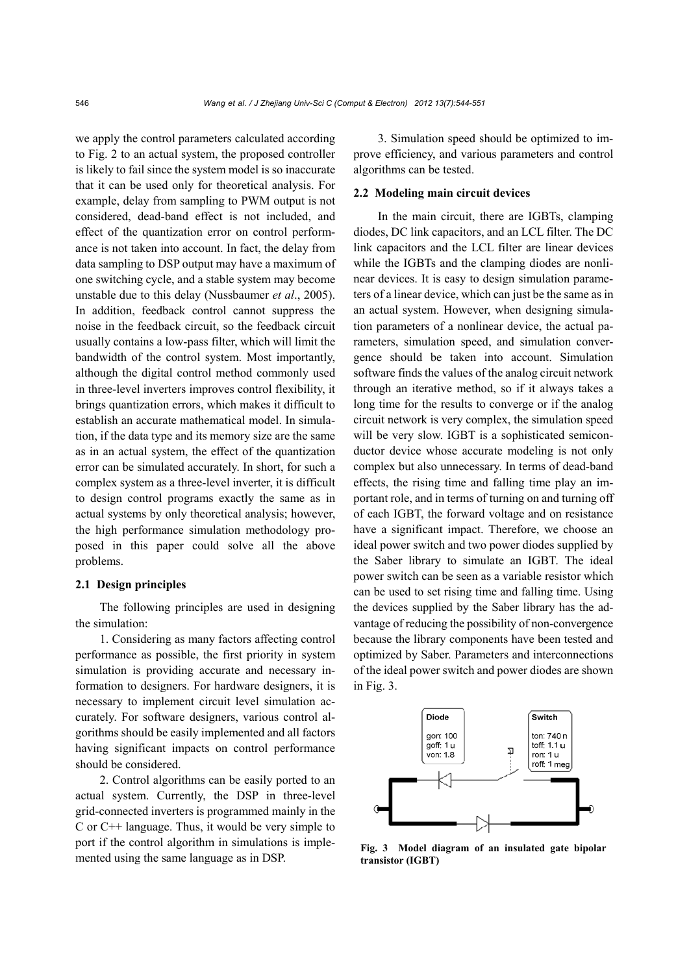we apply the control parameters calculated according to Fig. 2 to an actual system, the proposed controller is likely to fail since the system model is so inaccurate that it can be used only for theoretical analysis. For example, delay from sampling to PWM output is not considered, dead-band effect is not included, and effect of the quantization error on control performance is not taken into account. In fact, the delay from data sampling to DSP output may have a maximum of one switching cycle, and a stable system may become unstable due to this delay (Nussbaumer *et al*., 2005). In addition, feedback control cannot suppress the noise in the feedback circuit, so the feedback circuit usually contains a low-pass filter, which will limit the bandwidth of the control system. Most importantly, although the digital control method commonly used in three-level inverters improves control flexibility, it brings quantization errors, which makes it difficult to establish an accurate mathematical model. In simulation, if the data type and its memory size are the same as in an actual system, the effect of the quantization error can be simulated accurately. In short, for such a complex system as a three-level inverter, it is difficult to design control programs exactly the same as in actual systems by only theoretical analysis; however, the high performance simulation methodology proposed in this paper could solve all the above problems.

## **2.1 Design principles**

The following principles are used in designing the simulation:

1. Considering as many factors affecting control performance as possible, the first priority in system simulation is providing accurate and necessary information to designers. For hardware designers, it is necessary to implement circuit level simulation accurately. For software designers, various control algorithms should be easily implemented and all factors having significant impacts on control performance should be considered.

2. Control algorithms can be easily ported to an actual system. Currently, the DSP in three-level grid-connected inverters is programmed mainly in the C or C++ language. Thus, it would be very simple to port if the control algorithm in simulations is implemented using the same language as in DSP.

3. Simulation speed should be optimized to improve efficiency, and various parameters and control algorithms can be tested.

### **2.2 Modeling main circuit devices**

In the main circuit, there are IGBTs, clamping diodes, DC link capacitors, and an LCL filter. The DC link capacitors and the LCL filter are linear devices while the IGBTs and the clamping diodes are nonlinear devices. It is easy to design simulation parameters of a linear device, which can just be the same as in an actual system. However, when designing simulation parameters of a nonlinear device, the actual parameters, simulation speed, and simulation convergence should be taken into account. Simulation software finds the values of the analog circuit network through an iterative method, so if it always takes a long time for the results to converge or if the analog circuit network is very complex, the simulation speed will be very slow. IGBT is a sophisticated semiconductor device whose accurate modeling is not only complex but also unnecessary. In terms of dead-band effects, the rising time and falling time play an important role, and in terms of turning on and turning off of each IGBT, the forward voltage and on resistance have a significant impact. Therefore, we choose an ideal power switch and two power diodes supplied by the Saber library to simulate an IGBT. The ideal power switch can be seen as a variable resistor which can be used to set rising time and falling time. Using the devices supplied by the Saber library has the advantage of reducing the possibility of non-convergence because the library components have been tested and optimized by Saber. Parameters and interconnections of the ideal power switch and power diodes are shown in Fig. 3.



**Fig. 3 Model diagram of an insulated gate bipolar transistor (IGBT)**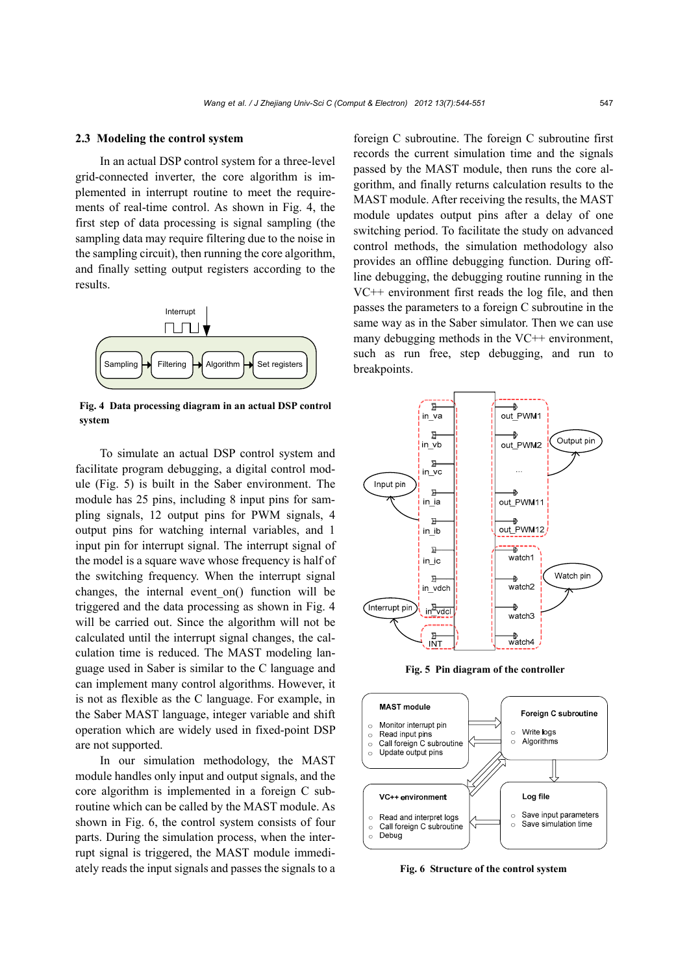## **2.3 Modeling the control system**

In an actual DSP control system for a three-level grid-connected inverter, the core algorithm is implemented in interrupt routine to meet the requirements of real-time control. As shown in Fig. 4, the first step of data processing is signal sampling (the sampling data may require filtering due to the noise in the sampling circuit), then running the core algorithm, and finally setting output registers according to the results.



**Fig. 4 Data processing diagram in an actual DSP control system**

To simulate an actual DSP control system and facilitate program debugging, a digital control module (Fig. 5) is built in the Saber environment. The module has 25 pins, including 8 input pins for sampling signals, 12 output pins for PWM signals, 4 output pins for watching internal variables, and 1 input pin for interrupt signal. The interrupt signal of the model is a square wave whose frequency is half of the switching frequency. When the interrupt signal changes, the internal event\_on() function will be triggered and the data processing as shown in Fig. 4 will be carried out. Since the algorithm will not be calculated until the interrupt signal changes, the calculation time is reduced. The MAST modeling language used in Saber is similar to the C language and can implement many control algorithms. However, it is not as flexible as the C language. For example, in the Saber MAST language, integer variable and shift operation which are widely used in fixed-point DSP are not supported.

In our simulation methodology, the MAST module handles only input and output signals, and the core algorithm is implemented in a foreign C subroutine which can be called by the MAST module. As shown in Fig. 6, the control system consists of four parts. During the simulation process, when the interrupt signal is triggered, the MAST module immediately reads the input signals and passes the signals to a foreign C subroutine. The foreign C subroutine first records the current simulation time and the signals passed by the MAST module, then runs the core algorithm, and finally returns calculation results to the MAST module. After receiving the results, the MAST module updates output pins after a delay of one switching period. To facilitate the study on advanced control methods, the simulation methodology also provides an offline debugging function. During offline debugging, the debugging routine running in the VC++ environment first reads the log file, and then passes the parameters to a foreign C subroutine in the same way as in the Saber simulator. Then we can use many debugging methods in the VC++ environment, such as run free, step debugging, and run to breakpoints.



**Fig. 5 Pin diagram of the controller**



**Fig. 6 Structure of the control system**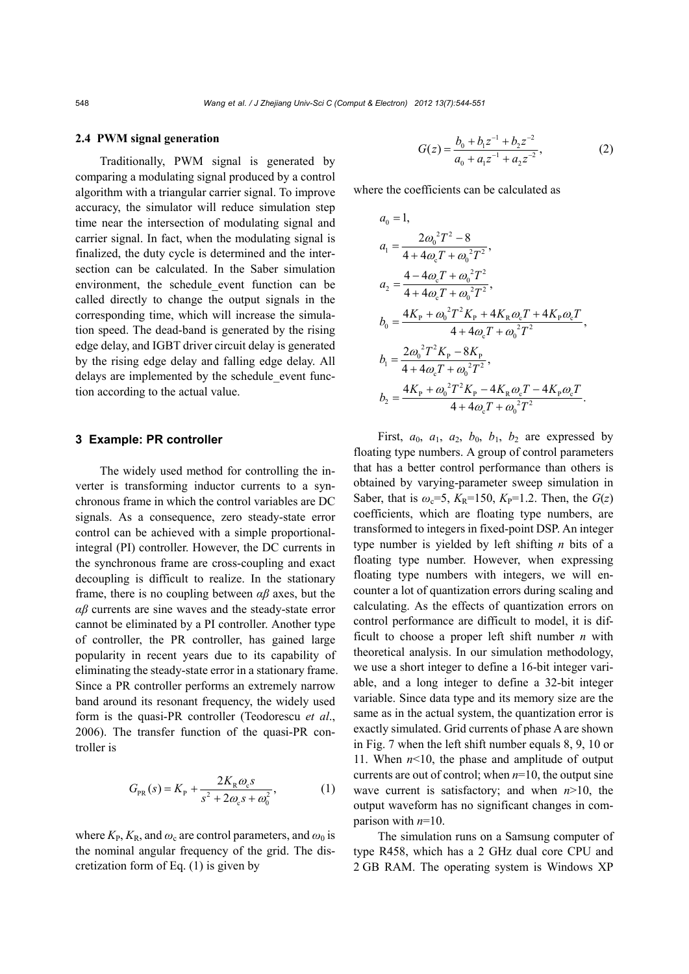548 *Wang et al. / J Zhejiang Univ-Sci C (Comput & Electron) 2012 13(7):544-551* 

### **2.4 PWM signal generation**

Traditionally, PWM signal is generated by comparing a modulating signal produced by a control algorithm with a triangular carrier signal. To improve accuracy, the simulator will reduce simulation step time near the intersection of modulating signal and carrier signal. In fact, when the modulating signal is finalized, the duty cycle is determined and the intersection can be calculated. In the Saber simulation environment, the schedule\_event function can be called directly to change the output signals in the corresponding time, which will increase the simulation speed. The dead-band is generated by the rising edge delay, and IGBT driver circuit delay is generated by the rising edge delay and falling edge delay. All delays are implemented by the schedule event function according to the actual value.

## **3 Example: PR controller**

The widely used method for controlling the inverter is transforming inductor currents to a synchronous frame in which the control variables are DC signals. As a consequence, zero steady-state error control can be achieved with a simple proportionalintegral (PI) controller. However, the DC currents in the synchronous frame are cross-coupling and exact decoupling is difficult to realize. In the stationary frame, there is no coupling between *αβ* axes, but the *αβ* currents are sine waves and the steady-state error cannot be eliminated by a PI controller. Another type of controller, the PR controller, has gained large popularity in recent years due to its capability of eliminating the steady-state error in a stationary frame. Since a PR controller performs an extremely narrow band around its resonant frequency, the widely used form is the quasi-PR controller (Teodorescu *et al*., 2006). The transfer function of the quasi-PR controller is

$$
G_{PR}(s) = K_{P} + \frac{2K_{R}\omega_{c}s}{s^{2} + 2\omega_{c}s + \omega_{0}^{2}},
$$
 (1)

where  $K_{\text{P}}$ ,  $K_{\text{R}}$ , and  $\omega_{\text{c}}$  are control parameters, and  $\omega_{0}$  is the nominal angular frequency of the grid. The discretization form of Eq. (1) is given by

$$
G(z) = \frac{b_0 + b_1 z^{-1} + b_2 z^{-2}}{a_0 + a_1 z^{-1} + a_2 z^{-2}},
$$
 (2)

where the coefficients can be calculated as

$$
a_0 = 1,
$$
  
\n
$$
a_1 = \frac{2\omega_0^2 T^2 - 8}{4 + 4\omega_c T + \omega_0^2 T^2},
$$
  
\n
$$
a_2 = \frac{4 - 4\omega_c T + \omega_0^2 T^2}{4 + 4\omega_c T + \omega_0^2 T^2},
$$
  
\n
$$
b_0 = \frac{4K_p + \omega_0^2 T^2 K_p + 4K_R \omega_c T + 4K_p \omega_c T}{4 + 4\omega_c T + \omega_0^2 T^2},
$$
  
\n
$$
b_1 = \frac{2\omega_0^2 T^2 K_p - 8K_p}{4 + 4\omega_c T + \omega_0^2 T^2},
$$
  
\n
$$
b_2 = \frac{4K_p + \omega_0^2 T^2 K_p - 4K_R \omega_c T - 4K_p \omega_c T}{4 + 4\omega_c T + \omega_0^2 T^2}.
$$

First,  $a_0$ ,  $a_1$ ,  $a_2$ ,  $b_0$ ,  $b_1$ ,  $b_2$  are expressed by floating type numbers. A group of control parameters that has a better control performance than others is obtained by varying-parameter sweep simulation in Saber, that is  $\omega_c = 5$ ,  $K_R = 150$ ,  $K_P = 1.2$ . Then, the  $G(z)$ coefficients, which are floating type numbers, are transformed to integers in fixed-point DSP. An integer type number is yielded by left shifting *n* bits of a floating type number. However, when expressing floating type numbers with integers, we will encounter a lot of quantization errors during scaling and calculating. As the effects of quantization errors on control performance are difficult to model, it is difficult to choose a proper left shift number *n* with theoretical analysis. In our simulation methodology, we use a short integer to define a 16-bit integer variable, and a long integer to define a 32-bit integer variable. Since data type and its memory size are the same as in the actual system, the quantization error is exactly simulated. Grid currents of phase A are shown in Fig. 7 when the left shift number equals 8, 9, 10 or 11. When *n*<10, the phase and amplitude of output currents are out of control; when *n*=10, the output sine wave current is satisfactory; and when *n*>10, the output waveform has no significant changes in comparison with *n*=10.

The simulation runs on a Samsung computer of type R458, which has a 2 GHz dual core CPU and 2 GB RAM. The operating system is Windows XP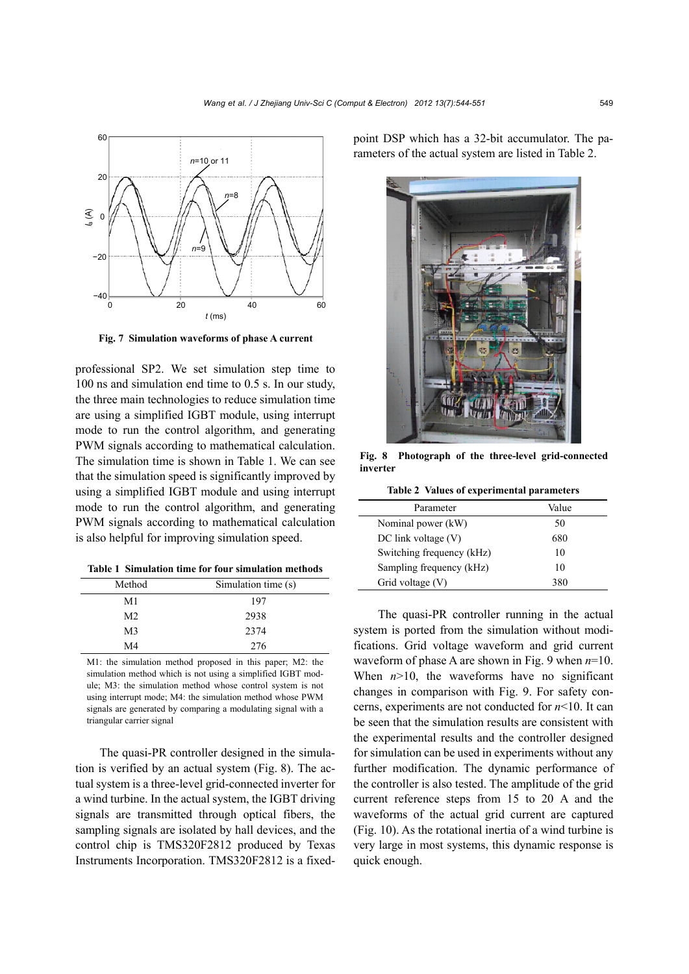

**Fig. 7 Simulation waveforms of phase A current**

professional SP2. We set simulation step time to 100 ns and simulation end time to 0.5 s. In our study, the three main technologies to reduce simulation time are using a simplified IGBT module, using interrupt mode to run the control algorithm, and generating PWM signals according to mathematical calculation. The simulation time is shown in Table 1. We can see that the simulation speed is significantly improved by using a simplified IGBT module and using interrupt mode to run the control algorithm, and generating PWM signals according to mathematical calculation is also helpful for improving simulation speed.

|  | Table 1 Simulation time for four simulation methods |  |  |  |  |
|--|-----------------------------------------------------|--|--|--|--|
|--|-----------------------------------------------------|--|--|--|--|

| Method         | Simulation time (s) |
|----------------|---------------------|
| M1             | 197                 |
| M <sub>2</sub> | 2938                |
| M <sub>3</sub> | 2374                |
| M4             | 276                 |

M1: the simulation method proposed in this paper; M2: the simulation method which is not using a simplified IGBT module; M3: the simulation method whose control system is not using interrupt mode; M4: the simulation method whose PWM signals are generated by comparing a modulating signal with a triangular carrier signal

The quasi-PR controller designed in the simulation is verified by an actual system (Fig. 8). The actual system is a three-level grid-connected inverter for a wind turbine. In the actual system, the IGBT driving signals are transmitted through optical fibers, the sampling signals are isolated by hall devices, and the control chip is TMS320F2812 produced by Texas Instruments Incorporation. TMS320F2812 is a fixedpoint DSP which has a 32-bit accumulator. The parameters of the actual system are listed in Table 2.



**Fig. 8 Photograph of the three-level grid-connected inverter**

**Table 2 Values of experimental parameters** 

| Parameter                 | Value |
|---------------------------|-------|
| Nominal power (kW)        | 50    |
| DC link voltage $(V)$     | 680   |
| Switching frequency (kHz) | 10    |
| Sampling frequency (kHz)  | 10    |
| Grid voltage $(V)$        | 380   |

The quasi-PR controller running in the actual system is ported from the simulation without modifications. Grid voltage waveform and grid current waveform of phase A are shown in Fig. 9 when *n*=10. When  $n>10$ , the waveforms have no significant changes in comparison with Fig. 9. For safety concerns, experiments are not conducted for *n*<10. It can be seen that the simulation results are consistent with the experimental results and the controller designed for simulation can be used in experiments without any further modification. The dynamic performance of the controller is also tested. The amplitude of the grid current reference steps from 15 to 20 A and the waveforms of the actual grid current are captured (Fig. 10). As the rotational inertia of a wind turbine is very large in most systems, this dynamic response is quick enough.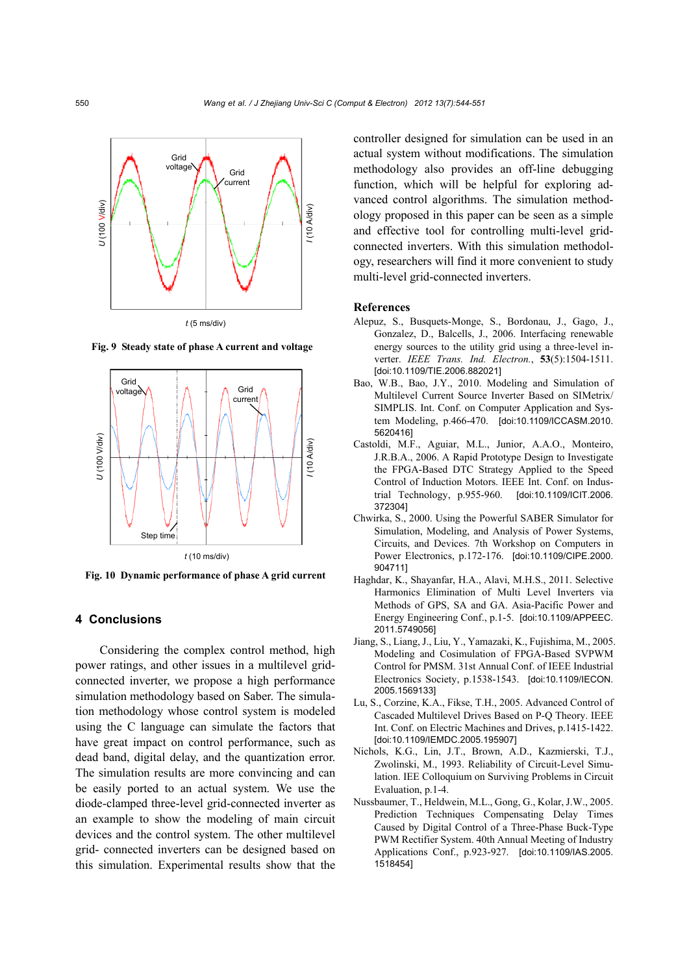

**Fig. 9 Steady state of phase A current and voltage**



**Fig. 10 Dynamic performance of phase A grid current**

# **4 Conclusions**

Considering the complex control method, high power ratings, and other issues in a multilevel gridconnected inverter, we propose a high performance simulation methodology based on Saber. The simulation methodology whose control system is modeled using the C language can simulate the factors that have great impact on control performance, such as dead band, digital delay, and the quantization error. The simulation results are more convincing and can be easily ported to an actual system. We use the diode-clamped three-level grid-connected inverter as an example to show the modeling of main circuit devices and the control system. The other multilevel grid- connected inverters can be designed based on this simulation. Experimental results show that the controller designed for simulation can be used in an actual system without modifications. The simulation methodology also provides an off-line debugging function, which will be helpful for exploring advanced control algorithms. The simulation methodology proposed in this paper can be seen as a simple and effective tool for controlling multi-level gridconnected inverters. With this simulation methodology, researchers will find it more convenient to study multi-level grid-connected inverters.

#### **References**

- Alepuz, S., Busquets-Monge, S., Bordonau, J., Gago, J., Gonzalez, D., Balcells, J., 2006. Interfacing renewable energy sources to the utility grid using a three-level inverter. *IEEE Trans. Ind. Electron.*, **53**(5):1504-1511. [doi:10.1109/TIE.2006.882021]
- Bao, W.B., Bao, J.Y., 2010. Modeling and Simulation of Multilevel Current Source Inverter Based on SIMetrix/ SIMPLIS. Int. Conf. on Computer Application and System Modeling, p.466-470. [doi:10.1109/ICCASM.2010. 5620416]
- Castoldi, M.F., Aguiar, M.L., Junior, A.A.O., Monteiro, J.R.B.A., 2006. A Rapid Prototype Design to Investigate the FPGA-Based DTC Strategy Applied to the Speed Control of Induction Motors. IEEE Int. Conf. on Industrial Technology, p.955-960. [doi:10.1109/ICIT.2006. 372304]
- Chwirka, S., 2000. Using the Powerful SABER Simulator for Simulation, Modeling, and Analysis of Power Systems, Circuits, and Devices. 7th Workshop on Computers in Power Electronics, p.172-176. [doi:10.1109/CIPE.2000. 904711]
- Haghdar, K., Shayanfar, H.A., Alavi, M.H.S., 2011. Selective Harmonics Elimination of Multi Level Inverters via Methods of GPS, SA and GA. Asia-Pacific Power and Energy Engineering Conf., p.1-5. [doi:10.1109/APPEEC. 2011.5749056]
- Jiang, S., Liang, J., Liu, Y., Yamazaki, K., Fujishima, M., 2005. Modeling and Cosimulation of FPGA-Based SVPWM Control for PMSM. 31st Annual Conf. of IEEE Industrial Electronics Society, p.1538-1543. [doi:10.1109/IECON. 2005.1569133]
- Lu, S., Corzine, K.A., Fikse, T.H., 2005. Advanced Control of Cascaded Multilevel Drives Based on P-Q Theory. IEEE Int. Conf. on Electric Machines and Drives, p.1415-1422. [doi:10.1109/IEMDC.2005.195907]
- Nichols, K.G., Lin, J.T., Brown, A.D., Kazmierski, T.J., Zwolinski, M., 1993. Reliability of Circuit-Level Simulation. IEE Colloquium on Surviving Problems in Circuit Evaluation, p.1-4.
- Nussbaumer, T., Heldwein, M.L., Gong, G., Kolar, J.W., 2005. Prediction Techniques Compensating Delay Times Caused by Digital Control of a Three-Phase Buck-Type PWM Rectifier System. 40th Annual Meeting of Industry Applications Conf., p.923-927. [doi:10.1109/IAS.2005. 1518454]